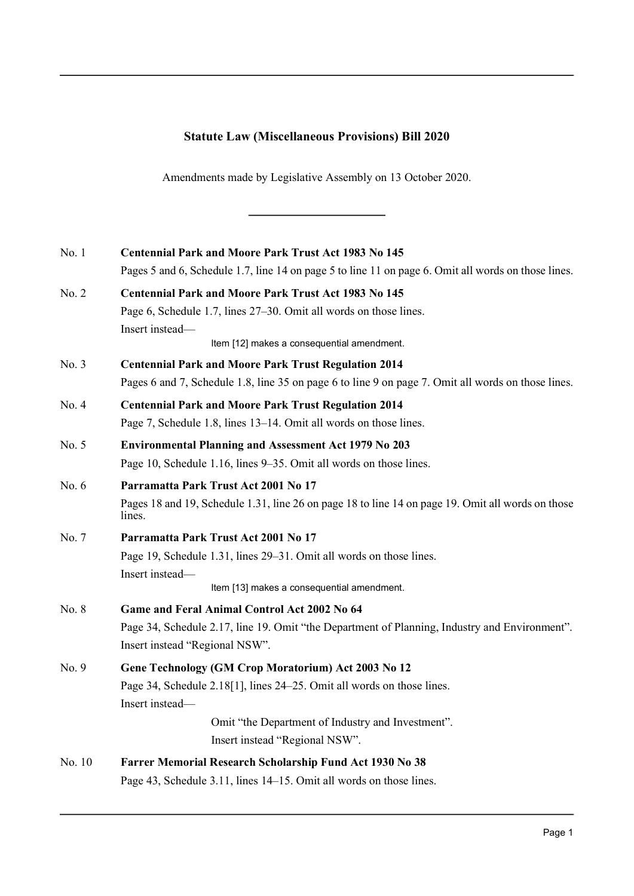## **Statute Law (Miscellaneous Provisions) Bill 2020**

Amendments made by Legislative Assembly on 13 October 2020.

| No. 1   | <b>Centennial Park and Moore Park Trust Act 1983 No 145</b>                                                 |
|---------|-------------------------------------------------------------------------------------------------------------|
|         | Pages 5 and 6, Schedule 1.7, line 14 on page 5 to line 11 on page 6. Omit all words on those lines.         |
| No. 2   | <b>Centennial Park and Moore Park Trust Act 1983 No 145</b>                                                 |
|         | Page 6, Schedule 1.7, lines 27–30. Omit all words on those lines.                                           |
|         | Insert instead-                                                                                             |
|         | Item [12] makes a consequential amendment.                                                                  |
| No. 3   | <b>Centennial Park and Moore Park Trust Regulation 2014</b>                                                 |
|         | Pages 6 and 7, Schedule 1.8, line 35 on page 6 to line 9 on page 7. Omit all words on those lines.          |
| No. 4   | <b>Centennial Park and Moore Park Trust Regulation 2014</b>                                                 |
|         | Page 7, Schedule 1.8, lines 13–14. Omit all words on those lines.                                           |
| No. 5   | <b>Environmental Planning and Assessment Act 1979 No 203</b>                                                |
|         | Page 10, Schedule 1.16, lines 9–35. Omit all words on those lines.                                          |
| No. $6$ | Parramatta Park Trust Act 2001 No 17                                                                        |
|         | Pages 18 and 19, Schedule 1.31, line 26 on page 18 to line 14 on page 19. Omit all words on those<br>lines. |
| No. 7   | Parramatta Park Trust Act 2001 No 17                                                                        |
|         | Page 19, Schedule 1.31, lines 29-31. Omit all words on those lines.                                         |
|         | Insert instead-                                                                                             |
|         | Item [13] makes a consequential amendment.                                                                  |
| No. 8   | Game and Feral Animal Control Act 2002 No 64                                                                |
|         | Page 34, Schedule 2.17, line 19. Omit "the Department of Planning, Industry and Environment".               |
|         | Insert instead "Regional NSW".                                                                              |
| No. 9   | Gene Technology (GM Crop Moratorium) Act 2003 No 12                                                         |
|         | Page 34, Schedule 2.18[1], lines 24–25. Omit all words on those lines.                                      |
|         | Insert instead-                                                                                             |
|         | Omit "the Department of Industry and Investment".                                                           |
|         | Insert instead "Regional NSW".                                                                              |
| No. 10  | Farrer Memorial Research Scholarship Fund Act 1930 No 38                                                    |
|         | Page 43, Schedule 3.11, lines 14–15. Omit all words on those lines.                                         |